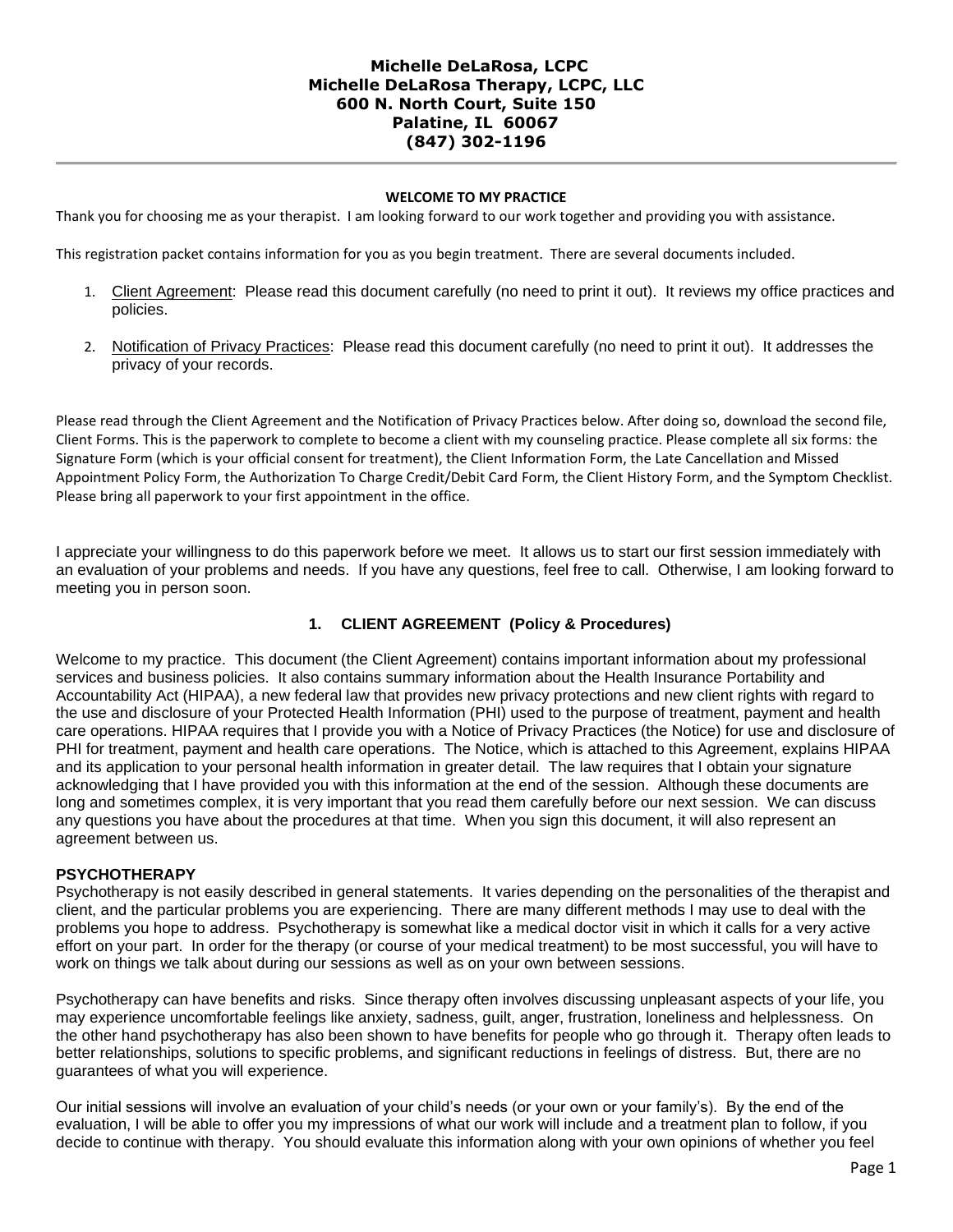## **WELCOME TO MY PRACTICE**

Thank you for choosing me as your therapist. I am looking forward to our work together and providing you with assistance.

This registration packet contains information for you as you begin treatment. There are several documents included.

- 1. Client Agreement: Please read this document carefully (no need to print it out). It reviews my office practices and policies.
- 2. Notification of Privacy Practices: Please read this document carefully (no need to print it out). It addresses the privacy of your records.

Please read through the Client Agreement and the Notification of Privacy Practices below. After doing so, download the second file, Client Forms. This is the paperwork to complete to become a client with my counseling practice. Please complete all six forms: the Signature Form (which is your official consent for treatment), the Client Information Form, the Late Cancellation and Missed Appointment Policy Form, the Authorization To Charge Credit/Debit Card Form, the Client History Form, and the Symptom Checklist. Please bring all paperwork to your first appointment in the office.

I appreciate your willingness to do this paperwork before we meet. It allows us to start our first session immediately with an evaluation of your problems and needs. If you have any questions, feel free to call. Otherwise, I am looking forward to meeting you in person soon.

# **1. CLIENT AGREEMENT (Policy & Procedures)**

Welcome to my practice. This document (the Client Agreement) contains important information about my professional services and business policies. It also contains summary information about the Health Insurance Portability and Accountability Act (HIPAA), a new federal law that provides new privacy protections and new client rights with regard to the use and disclosure of your Protected Health Information (PHI) used to the purpose of treatment, payment and health care operations. HIPAA requires that I provide you with a Notice of Privacy Practices (the Notice) for use and disclosure of PHI for treatment, payment and health care operations. The Notice, which is attached to this Agreement, explains HIPAA and its application to your personal health information in greater detail. The law requires that I obtain your signature acknowledging that I have provided you with this information at the end of the session. Although these documents are long and sometimes complex, it is very important that you read them carefully before our next session. We can discuss any questions you have about the procedures at that time. When you sign this document, it will also represent an agreement between us.

### **PSYCHOTHERAPY**

Psychotherapy is not easily described in general statements. It varies depending on the personalities of the therapist and client, and the particular problems you are experiencing. There are many different methods I may use to deal with the problems you hope to address. Psychotherapy is somewhat like a medical doctor visit in which it calls for a very active effort on your part. In order for the therapy (or course of your medical treatment) to be most successful, you will have to work on things we talk about during our sessions as well as on your own between sessions.

Psychotherapy can have benefits and risks. Since therapy often involves discussing unpleasant aspects of your life, you may experience uncomfortable feelings like anxiety, sadness, guilt, anger, frustration, loneliness and helplessness. On the other hand psychotherapy has also been shown to have benefits for people who go through it. Therapy often leads to better relationships, solutions to specific problems, and significant reductions in feelings of distress. But, there are no guarantees of what you will experience.

Our initial sessions will involve an evaluation of your child's needs (or your own or your family's). By the end of the evaluation, I will be able to offer you my impressions of what our work will include and a treatment plan to follow, if you decide to continue with therapy. You should evaluate this information along with your own opinions of whether you feel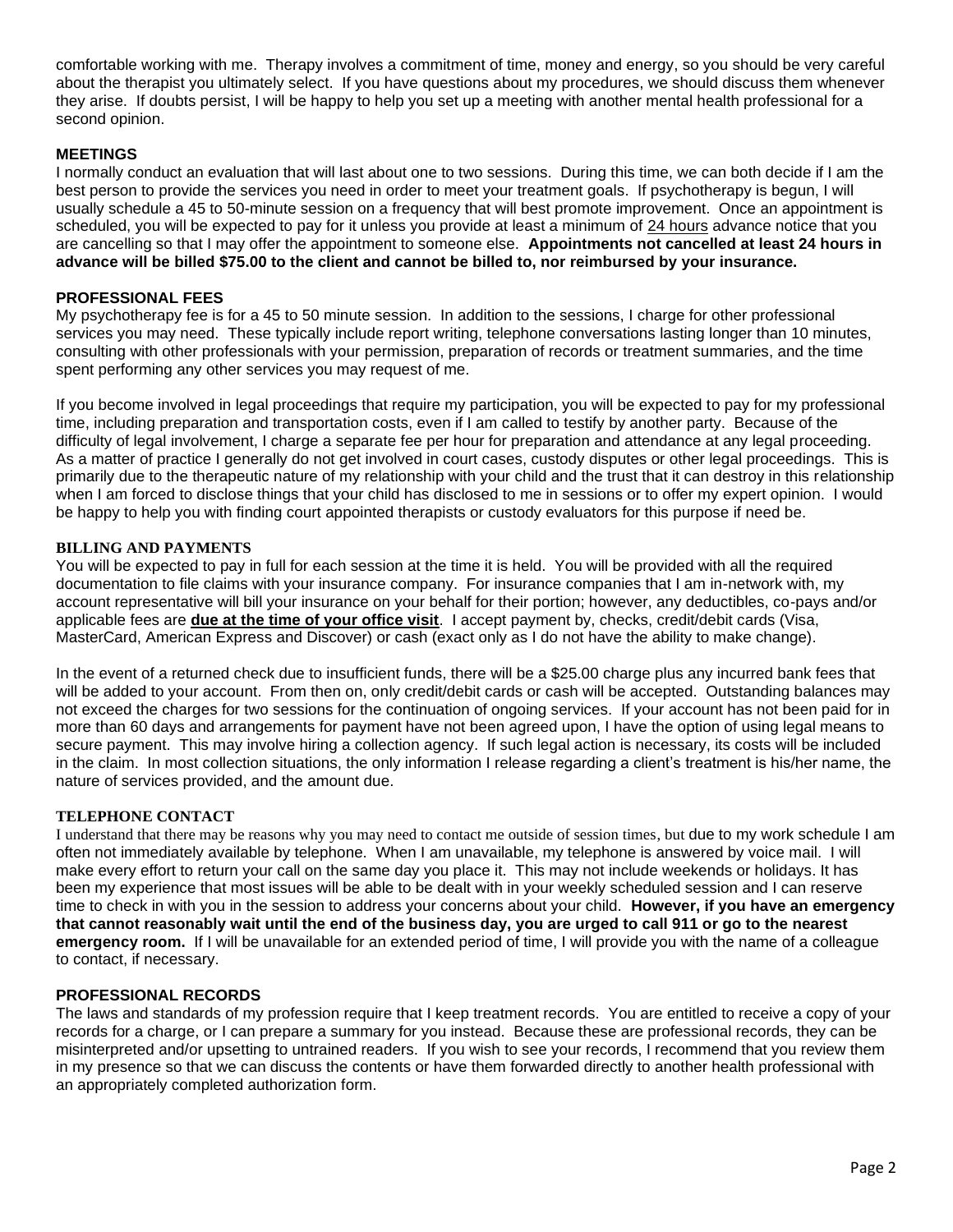comfortable working with me. Therapy involves a commitment of time, money and energy, so you should be very careful about the therapist you ultimately select. If you have questions about my procedures, we should discuss them whenever they arise. If doubts persist, I will be happy to help you set up a meeting with another mental health professional for a second opinion.

## **MEETINGS**

I normally conduct an evaluation that will last about one to two sessions. During this time, we can both decide if I am the best person to provide the services you need in order to meet your treatment goals. If psychotherapy is begun, I will usually schedule a 45 to 50-minute session on a frequency that will best promote improvement. Once an appointment is scheduled, you will be expected to pay for it unless you provide at least a minimum of 24 hours advance notice that you are cancelling so that I may offer the appointment to someone else. **Appointments not cancelled at least 24 hours in advance will be billed \$75.00 to the client and cannot be billed to, nor reimbursed by your insurance.** 

### **PROFESSIONAL FEES**

My psychotherapy fee is for a 45 to 50 minute session. In addition to the sessions, I charge for other professional services you may need. These typically include report writing, telephone conversations lasting longer than 10 minutes, consulting with other professionals with your permission, preparation of records or treatment summaries, and the time spent performing any other services you may request of me.

If you become involved in legal proceedings that require my participation, you will be expected to pay for my professional time, including preparation and transportation costs, even if I am called to testify by another party. Because of the difficulty of legal involvement, I charge a separate fee per hour for preparation and attendance at any legal proceeding. As a matter of practice I generally do not get involved in court cases, custody disputes or other legal proceedings. This is primarily due to the therapeutic nature of my relationship with your child and the trust that it can destroy in this relationship when I am forced to disclose things that your child has disclosed to me in sessions or to offer my expert opinion. I would be happy to help you with finding court appointed therapists or custody evaluators for this purpose if need be.

### **BILLING AND PAYMENTS**

You will be expected to pay in full for each session at the time it is held. You will be provided with all the required documentation to file claims with your insurance company. For insurance companies that I am in-network with, my account representative will bill your insurance on your behalf for their portion; however, any deductibles, co-pays and/or applicable fees are **due at the time of your office visit**. I accept payment by, checks, credit/debit cards (Visa, MasterCard, American Express and Discover) or cash (exact only as I do not have the ability to make change).

In the event of a returned check due to insufficient funds, there will be a \$25.00 charge plus any incurred bank fees that will be added to your account. From then on, only credit/debit cards or cash will be accepted. Outstanding balances may not exceed the charges for two sessions for the continuation of ongoing services. If your account has not been paid for in more than 60 days and arrangements for payment have not been agreed upon, I have the option of using legal means to secure payment. This may involve hiring a collection agency. If such legal action is necessary, its costs will be included in the claim. In most collection situations, the only information I release regarding a client's treatment is his/her name, the nature of services provided, and the amount due.

### **TELEPHONE CONTACT**

I understand that there may be reasons why you may need to contact me outside of session times, but due to my work schedule I am often not immediately available by telephone. When I am unavailable, my telephone is answered by voice mail. I will make every effort to return your call on the same day you place it. This may not include weekends or holidays. It has been my experience that most issues will be able to be dealt with in your weekly scheduled session and I can reserve time to check in with you in the session to address your concerns about your child. **However, if you have an emergency that cannot reasonably wait until the end of the business day, you are urged to call 911 or go to the nearest emergency room.** If I will be unavailable for an extended period of time, I will provide you with the name of a colleague to contact, if necessary.

### **PROFESSIONAL RECORDS**

The laws and standards of my profession require that I keep treatment records. You are entitled to receive a copy of your records for a charge, or I can prepare a summary for you instead. Because these are professional records, they can be misinterpreted and/or upsetting to untrained readers. If you wish to see your records, I recommend that you review them in my presence so that we can discuss the contents or have them forwarded directly to another health professional with an appropriately completed authorization form.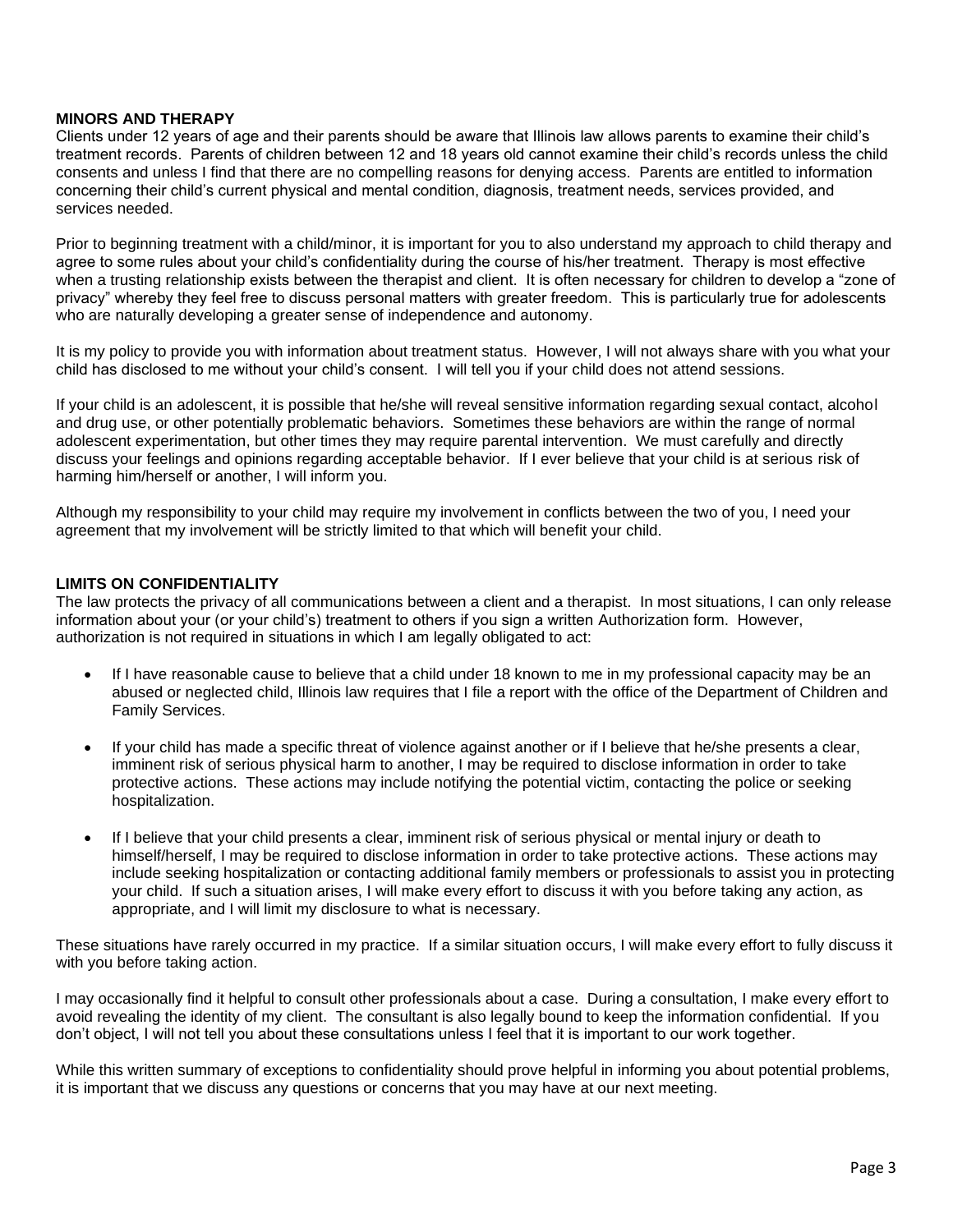### **MINORS AND THERAPY**

Clients under 12 years of age and their parents should be aware that Illinois law allows parents to examine their child's treatment records. Parents of children between 12 and 18 years old cannot examine their child's records unless the child consents and unless I find that there are no compelling reasons for denying access. Parents are entitled to information concerning their child's current physical and mental condition, diagnosis, treatment needs, services provided, and services needed.

Prior to beginning treatment with a child/minor, it is important for you to also understand my approach to child therapy and agree to some rules about your child's confidentiality during the course of his/her treatment. Therapy is most effective when a trusting relationship exists between the therapist and client. It is often necessary for children to develop a "zone of privacy" whereby they feel free to discuss personal matters with greater freedom. This is particularly true for adolescents who are naturally developing a greater sense of independence and autonomy.

It is my policy to provide you with information about treatment status. However, I will not always share with you what your child has disclosed to me without your child's consent. I will tell you if your child does not attend sessions.

If your child is an adolescent, it is possible that he/she will reveal sensitive information regarding sexual contact, alcohol and drug use, or other potentially problematic behaviors. Sometimes these behaviors are within the range of normal adolescent experimentation, but other times they may require parental intervention. We must carefully and directly discuss your feelings and opinions regarding acceptable behavior. If I ever believe that your child is at serious risk of harming him/herself or another, I will inform you.

Although my responsibility to your child may require my involvement in conflicts between the two of you, I need your agreement that my involvement will be strictly limited to that which will benefit your child.

#### **LIMITS ON CONFIDENTIALITY**

The law protects the privacy of all communications between a client and a therapist. In most situations, I can only release information about your (or your child's) treatment to others if you sign a written Authorization form. However, authorization is not required in situations in which I am legally obligated to act:

- If I have reasonable cause to believe that a child under 18 known to me in my professional capacity may be an abused or neglected child, Illinois law requires that I file a report with the office of the Department of Children and Family Services.
- If your child has made a specific threat of violence against another or if I believe that he/she presents a clear, imminent risk of serious physical harm to another, I may be required to disclose information in order to take protective actions. These actions may include notifying the potential victim, contacting the police or seeking hospitalization.
- If I believe that your child presents a clear, imminent risk of serious physical or mental injury or death to himself/herself, I may be required to disclose information in order to take protective actions. These actions may include seeking hospitalization or contacting additional family members or professionals to assist you in protecting your child. If such a situation arises, I will make every effort to discuss it with you before taking any action, as appropriate, and I will limit my disclosure to what is necessary.

These situations have rarely occurred in my practice. If a similar situation occurs, I will make every effort to fully discuss it with you before taking action.

I may occasionally find it helpful to consult other professionals about a case. During a consultation, I make every effort to avoid revealing the identity of my client. The consultant is also legally bound to keep the information confidential. If you don't object, I will not tell you about these consultations unless I feel that it is important to our work together.

While this written summary of exceptions to confidentiality should prove helpful in informing you about potential problems, it is important that we discuss any questions or concerns that you may have at our next meeting.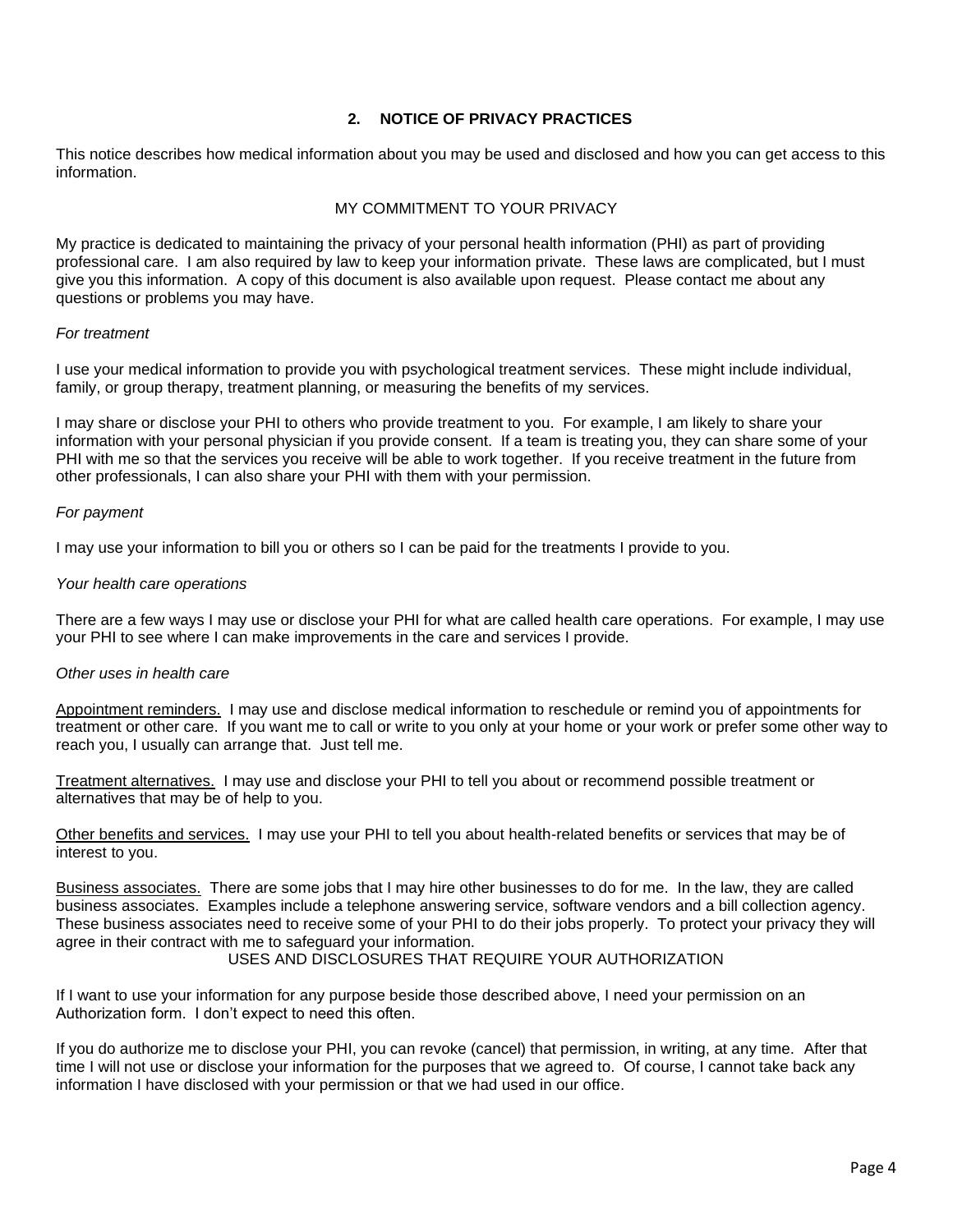# **2. NOTICE OF PRIVACY PRACTICES**

This notice describes how medical information about you may be used and disclosed and how you can get access to this information.

### MY COMMITMENT TO YOUR PRIVACY

My practice is dedicated to maintaining the privacy of your personal health information (PHI) as part of providing professional care. I am also required by law to keep your information private. These laws are complicated, but I must give you this information. A copy of this document is also available upon request. Please contact me about any questions or problems you may have.

### *For treatment*

I use your medical information to provide you with psychological treatment services. These might include individual, family, or group therapy, treatment planning, or measuring the benefits of my services.

I may share or disclose your PHI to others who provide treatment to you. For example, I am likely to share your information with your personal physician if you provide consent. If a team is treating you, they can share some of your PHI with me so that the services you receive will be able to work together. If you receive treatment in the future from other professionals, I can also share your PHI with them with your permission.

### *For payment*

I may use your information to bill you or others so I can be paid for the treatments I provide to you.

#### *Your health care operations*

There are a few ways I may use or disclose your PHI for what are called health care operations. For example, I may use your PHI to see where I can make improvements in the care and services I provide.

#### *Other uses in health care*

Appointment reminders. I may use and disclose medical information to reschedule or remind you of appointments for treatment or other care. If you want me to call or write to you only at your home or your work or prefer some other way to reach you, I usually can arrange that. Just tell me.

Treatment alternatives. I may use and disclose your PHI to tell you about or recommend possible treatment or alternatives that may be of help to you.

Other benefits and services. I may use your PHI to tell you about health-related benefits or services that may be of interest to you.

Business associates. There are some jobs that I may hire other businesses to do for me. In the law, they are called business associates. Examples include a telephone answering service, software vendors and a bill collection agency. These business associates need to receive some of your PHI to do their jobs properly. To protect your privacy they will agree in their contract with me to safeguard your information.

## USES AND DISCLOSURES THAT REQUIRE YOUR AUTHORIZATION

If I want to use your information for any purpose beside those described above, I need your permission on an Authorization form. I don't expect to need this often.

If you do authorize me to disclose your PHI, you can revoke (cancel) that permission, in writing, at any time. After that time I will not use or disclose your information for the purposes that we agreed to. Of course, I cannot take back any information I have disclosed with your permission or that we had used in our office.